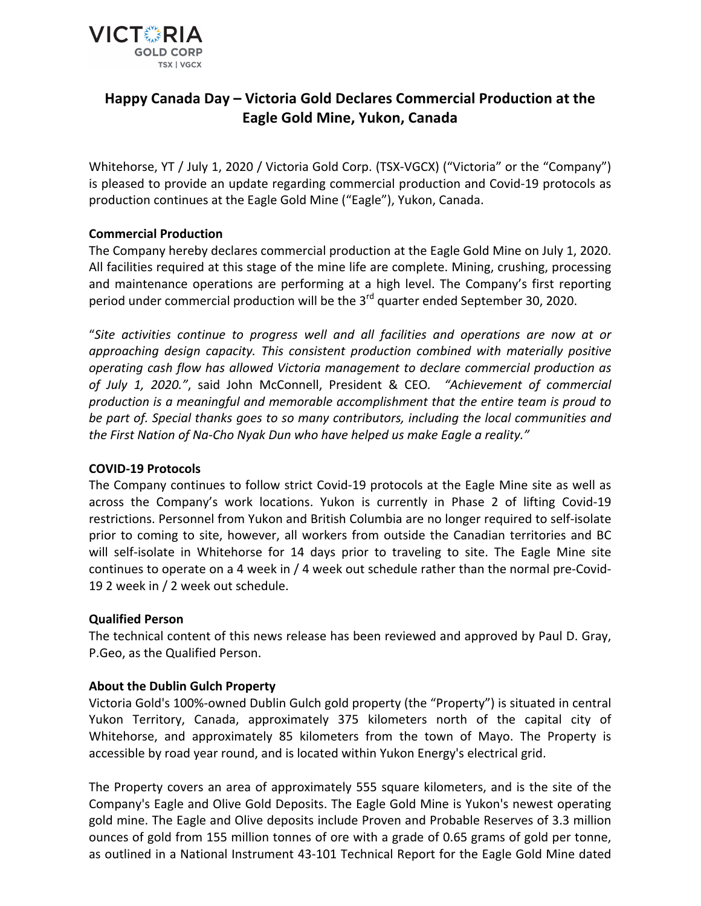

# **Happy Canada Day – Victoria Gold Declares Commercial Production at the Eagle Gold Mine, Yukon, Canada**

Whitehorse, YT / July 1, 2020 / Victoria Gold Corp. (TSX-VGCX) ("Victoria" or the "Company") is pleased to provide an update regarding commercial production and Covid-19 protocols as production continues at the Eagle Gold Mine ("Eagle"), Yukon, Canada.

### **Commercial Production**

The Company hereby declares commercial production at the Eagle Gold Mine on July 1, 2020. All facilities required at this stage of the mine life are complete. Mining, crushing, processing and maintenance operations are performing at a high level. The Company's first reporting period under commercial production will be the  $3<sup>rd</sup>$  quarter ended September 30, 2020.

"*Site activities continue to progress well and all facilities and operations are now at or approaching design capacity. This consistent production combined with materially positive operating cash flow has allowed Victoria management to declare commercial production as of July 1, 2020."*, said John McConnell, President & CEO. "Achievement of commercial production is a meaningful and memorable accomplishment that the entire team is proud to be part of. Special thanks goes to so many contributors, including the local communities and *the First Nation of Na-Cho Nyak Dun who have helped us make Eagle a reality."* 

### **COVID-19 Protocols**

The Company continues to follow strict Covid-19 protocols at the Eagle Mine site as well as across the Company's work locations. Yukon is currently in Phase 2 of lifting Covid-19 restrictions. Personnel from Yukon and British Columbia are no longer required to self-isolate prior to coming to site, however, all workers from outside the Canadian territories and BC will self-isolate in Whitehorse for 14 days prior to traveling to site. The Eagle Mine site continues to operate on a 4 week in / 4 week out schedule rather than the normal pre-Covid-19 2 week in / 2 week out schedule.

# **Qualified Person**

The technical content of this news release has been reviewed and approved by Paul D. Gray, P.Geo, as the Qualified Person.

# **About the Dublin Gulch Property**

Victoria Gold's 100%-owned Dublin Gulch gold property (the "Property") is situated in central Yukon Territory, Canada, approximately 375 kilometers north of the capital city of Whitehorse, and approximately 85 kilometers from the town of Mayo. The Property is accessible by road year round, and is located within Yukon Energy's electrical grid.

The Property covers an area of approximately 555 square kilometers, and is the site of the Company's Eagle and Olive Gold Deposits. The Eagle Gold Mine is Yukon's newest operating gold mine. The Eagle and Olive deposits include Proven and Probable Reserves of 3.3 million ounces of gold from 155 million tonnes of ore with a grade of 0.65 grams of gold per tonne, as outlined in a National Instrument 43-101 Technical Report for the Eagle Gold Mine dated